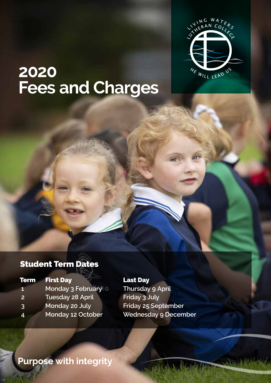

Controlly Holmes

# **2020 Fees and Charges**

## Student Term Dates

| <b>Term</b>    | <b>First Day</b>        |
|----------------|-------------------------|
| 1              | Monday 3 February       |
| $\overline{2}$ | <b>Tuesday 28 April</b> |
| $\overline{3}$ | <b>Monday 20 July</b>   |
| 4              | Monday 12 October       |

### **Last Day**

**1 Thursday 9 April Friday 3 July Friday 25 September Wednesday 9 December** 

**CONTRACTOR** 

**We take the** 

**Purpose with integrity**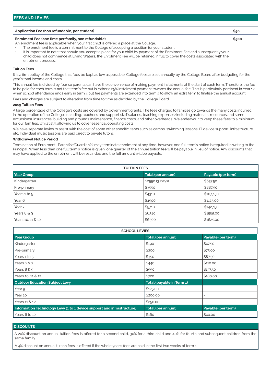| Application Fee (non refundable, per student)                                                                                                                                                                                                                                                                                                                                                                                                                                                                                    |       |
|----------------------------------------------------------------------------------------------------------------------------------------------------------------------------------------------------------------------------------------------------------------------------------------------------------------------------------------------------------------------------------------------------------------------------------------------------------------------------------------------------------------------------------|-------|
| Enrolment Fee (one time per family, non refundable)<br>An enrolment fee is applicable when your first child is offered a place at the College.<br>The enrolment fee is a commitment to the College of accepting a position for your student.<br>It is important to note that should you accept a place for your child by payment of the Enrolment Fee and subsequently your<br>child does not commence at Living Waters, the Enrolment Fee will be retained in full to cover the costs associated with the<br>enrolment process. | \$500 |

#### **Tuition Fees**

It is a firm policy of the College that fees be kept as low as possible. College fees are set annually by the College Board after budgeting for the year's total income and costs.

This annual fee is divided by four so parents can have the convenience of making payment instalments at the start of each term. Therefore, the fee to be paid for each term is not that term's fee but is rather a 25% instalment payment towards the annual fee. This is particularly pertinent in Year 12 when school attendance ends early in term 4 but fee payments are extended into term 4 to allow an extra term to finalise the annual account. Fees and charges are subject to alteration from time to time as decided by the College Board.

#### **2019 Tuition Fees**

A large percentage of the College's costs are covered by government grants. The fees charged to families go towards the many costs incurred in the operation of the College, including: teacher's and support staff salaries, teaching expenses (including materials, resources and some excursions), insurances, building and grounds maintenance, finance costs, and other overheads. We endeavour to keep these fees to a minimum for our families, whilst still allowing us to cover essential operating costs.

We have separate levies to assist with the cost of some other specific items such as camps, swimming lessons, IT device support, infrastructure, etc. Individual music lessons are paid direct to private tutors.

#### **Withdrawal Notice Period**

Termination of Enrolment: Parent(s)/Guardian(s) may terminate enrolment at any time, however, one full term's notice is required in writing to the Principal. When less than one full term's notice is given, one quarter of the annual tuition fee will be payable in lieu of notice. Any discounts that may have applied to the enrolment will be rescinded and the full amount will be payable.

| <b>TUITION FEES</b> |                   |                    |  |
|---------------------|-------------------|--------------------|--|
| <b>Year Group</b>   | Total (per annum) | Payable (per term) |  |
| Kindergarten        | \$2550 (3 days)   | \$637.50           |  |
| Pre-primary         | \$3550            | \$887.50           |  |
| Years 1 to 5        | \$4310            | \$1077.50          |  |
| Year 6              | \$4500            | \$1125.00          |  |
| Year <sub>7</sub>   | \$5710            | \$1427.50          |  |
| Years 8 & 9         | \$6340            | \$1585.00          |  |
| Years 10, 11 & 12   | \$6500            | \$1625.00          |  |

| <b>SCHOOL LEVIES</b>                                                   |                           |                    |  |
|------------------------------------------------------------------------|---------------------------|--------------------|--|
| <b>Year Group</b>                                                      | <b>Total (per annum)</b>  | Payable (per term) |  |
| Kindergarten                                                           | \$190                     | \$47.50            |  |
| Pre-primary                                                            | \$300                     | \$75.00            |  |
| Years 1 to 5                                                           | \$350                     | \$87.50            |  |
| Years 6 & 7                                                            | \$440                     | \$110.00           |  |
| Years 8 & 9                                                            | \$550                     | \$137.50           |  |
| Years 10, 11 & 12                                                      | \$720                     | \$180.00           |  |
| <b>Outdoor Education Subject Levy</b>                                  | Total (payable in Term 1) |                    |  |
| Year 9                                                                 | \$125.00                  | -                  |  |
| Year 10                                                                | \$200.00                  | ۰                  |  |
| Years 11 & 12                                                          | \$250.00                  | ۰                  |  |
| Information Technology Levy (1 to 1 device support and infrastructure) | Total (per annum)         | Payable (per term) |  |
| Years 6 to 12                                                          | \$160                     | \$40.00            |  |

#### **DISCOUNTS**

A 20% discount on annual tuition fees is offered for a second child, 30% for a third child and 40% for fourth and subsequent children from the same family.

A 4% discount on annual tuition fees is offered if the whole year's fees are paid in the first two weeks of term 1.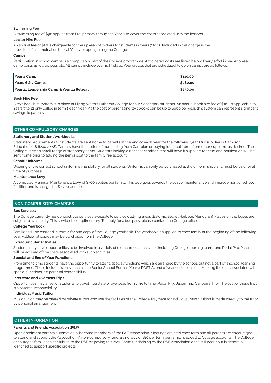#### **Swimming Fee**

A swimming fee of \$90 applies from Pre-primary through to Year 6 to cover the costs associated with the lessons.

#### **Locker Hire Fee**

An annual fee of \$20 is chargeable for the upkeep of lockers for students in Years 7 to 12. Included in this charge is the provision of a combination lock at Year 7 or upon joining the College.

#### **Camps**

Participation in school camps is a compulsory part of the College programme. Anticipated costs are listed below. Every effort is made to keep camp costs as low as possible. All camps include overnight stays. Year groups that are scheduled to go on camps are as follows:

| Year 4 Camp                               | <b>S110.00</b> |
|-------------------------------------------|----------------|
| Years 6 & 7 Camps                         | \$280.00       |
| Year 11 Leadership Camp & Year 12 Retreat | \$250.00       |

#### **Book Hire Fee**

A text book hire system is in place at Living Waters Lutheran College for our Secondary students. An annual book hire fee of \$160 is applicable to Years 7 to 12 only (billed in term 1 each year). As the cost of purchasing text books can be up to \$600 per year, this system can represent significant savings to parents.

#### **OTHER COMPULSORY CHARGES**

#### **Stationery and Student Workbooks**

Stationery requirements for students are sent home to parents at the end of each year for the following year. Our supplier is Campion Education (08 6240 2778). Parents have the option of purchasing from Campion or buying identical items from other suppliers as desired. The College keeps a small range of stationery items. Students lacking a necessary minor item will have it supplied to them and notification will be sent home prior to adding the item's cost to the family fee account.

#### **School Uniforms**

Wearing of the correct school uniform is mandatory for all students. Uniforms can only be purchased at the uniform shop and must be paid for at time of purchase.

#### **Maintenance Levy**

A compulsory annual Maintenance Levy of \$300 applies per family. This levy goes towards the cost of maintenance and improvement of school facilities and is charged at \$75.00 per term.

#### **NON COMPULSORY CHARGES**

#### **Bus Services**

The College currently has contract bus services available to service outlying areas (Baldivis, Secret Harbour, Mandurah). Places on the buses are subject to availability. This service is complimentary. To apply for a bus pass, please contact the College office.

#### **College Yearbook**

Families will be charged in term 4 for one copy of the College yearbook. The yearbook is supplied to each family at the beginning of the following year. Additional copies may be purchased from the College.

#### **Extracurricular Activities**

Students may have opportunities to be involved in a variety of extracurricular activities including College sporting teams and Pedal Prix. Parents will be advised of the costs associated with such activities.

#### **Special and End of Year Functions**

From time to time students have the opportunity to attend special functions which are arranged by the school, but not a part of a school learning programme. These include events such as the Senior School Formal, Year 9 ROSTIA, end of year excursions etc. Meeting the cost associated with special functions is a parental responsibility.

#### **Interstate and Overseas Trips**

Opportunities may arise for students to travel interstate or overseas from time to time (Pedal Prix, Japan Trip, Canberra Trip). The cost of these trips is a parental responsibility.

#### **Individual Music Tuition**

Music tuition may be offered by private tutors who use the facilities of the College. Payment for individual music tuition is made directly to the tutor by personal arrangement.

#### **OTHER INFORMATION**

#### **Parents and Friends Association (P&F)**

Upon enrolment parents automatically become members of the P&F Association. Meetings are held each term and all parents are encouraged to attend and support the Association. A non-compulsory fundraising levy of \$10 per term per family is added to College accounts. The College encourages families to contribute to the P&F by paying this levy. Some fundraising by the P&F Association does still occur but is generally identified to support specific projects.